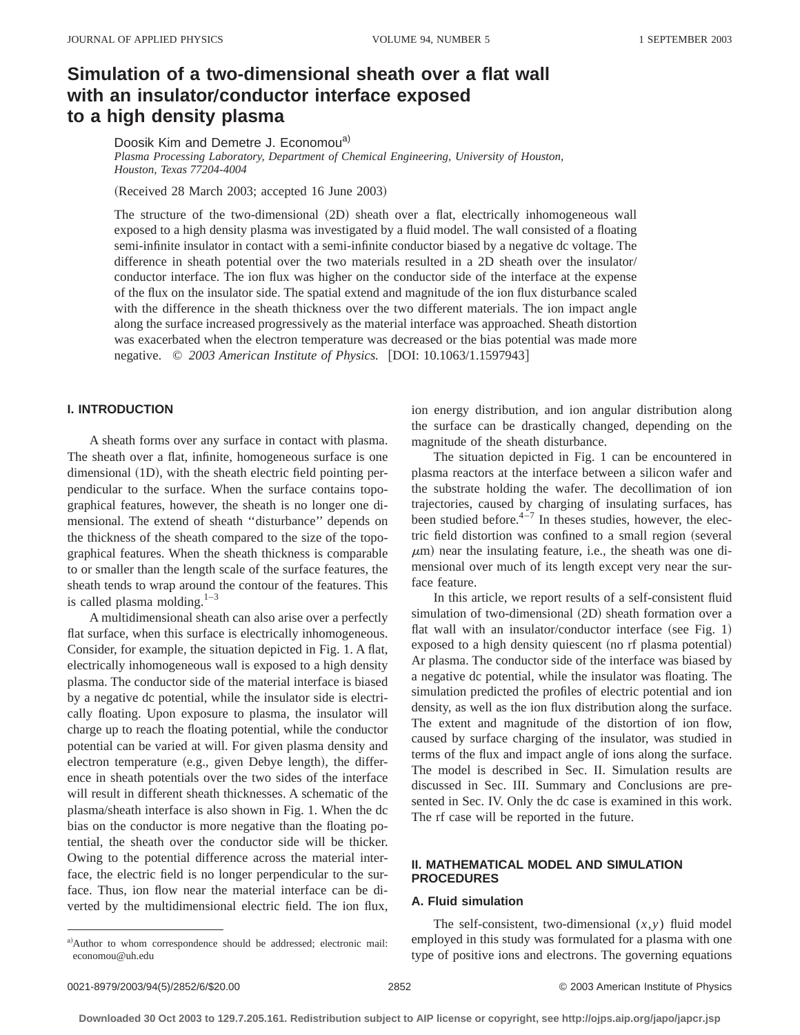# **Simulation of a two-dimensional sheath over a flat wall with an insulator/conductor interface exposed to a high density plasma**

Doosik Kim and Demetre J. Economou<sup>a)</sup>

*Plasma Processing Laboratory, Department of Chemical Engineering, University of Houston, Houston, Texas 77204-4004*

(Received 28 March 2003; accepted 16 June 2003)

The structure of the two-dimensional (2D) sheath over a flat, electrically inhomogeneous wall exposed to a high density plasma was investigated by a fluid model. The wall consisted of a floating semi-infinite insulator in contact with a semi-infinite conductor biased by a negative dc voltage. The difference in sheath potential over the two materials resulted in a 2D sheath over the insulator/ conductor interface. The ion flux was higher on the conductor side of the interface at the expense of the flux on the insulator side. The spatial extend and magnitude of the ion flux disturbance scaled with the difference in the sheath thickness over the two different materials. The ion impact angle along the surface increased progressively as the material interface was approached. Sheath distortion was exacerbated when the electron temperature was decreased or the bias potential was made more negative. © 2003 American Institute of Physics. [DOI: 10.1063/1.1597943]

# **I. INTRODUCTION**

A sheath forms over any surface in contact with plasma. The sheath over a flat, infinite, homogeneous surface is one dimensional  $(1D)$ , with the sheath electric field pointing perpendicular to the surface. When the surface contains topographical features, however, the sheath is no longer one dimensional. The extend of sheath ''disturbance'' depends on the thickness of the sheath compared to the size of the topographical features. When the sheath thickness is comparable to or smaller than the length scale of the surface features, the sheath tends to wrap around the contour of the features. This is called plasma molding. $1-3$ 

A multidimensional sheath can also arise over a perfectly flat surface, when this surface is electrically inhomogeneous. Consider, for example, the situation depicted in Fig. 1. A flat, electrically inhomogeneous wall is exposed to a high density plasma. The conductor side of the material interface is biased by a negative dc potential, while the insulator side is electrically floating. Upon exposure to plasma, the insulator will charge up to reach the floating potential, while the conductor potential can be varied at will. For given plasma density and electron temperature (e.g., given Debye length), the difference in sheath potentials over the two sides of the interface will result in different sheath thicknesses. A schematic of the plasma/sheath interface is also shown in Fig. 1. When the dc bias on the conductor is more negative than the floating potential, the sheath over the conductor side will be thicker. Owing to the potential difference across the material interface, the electric field is no longer perpendicular to the surface. Thus, ion flow near the material interface can be diverted by the multidimensional electric field. The ion flux, ion energy distribution, and ion angular distribution along the surface can be drastically changed, depending on the magnitude of the sheath disturbance.

The situation depicted in Fig. 1 can be encountered in plasma reactors at the interface between a silicon wafer and the substrate holding the wafer. The decollimation of ion trajectories, caused by charging of insulating surfaces, has been studied before. $4\overline{-7}$  In theses studies, however, the electric field distortion was confined to a small region (several  $\mu$ m) near the insulating feature, i.e., the sheath was one dimensional over much of its length except very near the surface feature.

In this article, we report results of a self-consistent fluid simulation of two-dimensional  $(2D)$  sheath formation over a flat wall with an insulator/conductor interface (see Fig. 1) exposed to a high density quiescent (no rf plasma potential) Ar plasma. The conductor side of the interface was biased by a negative dc potential, while the insulator was floating. The simulation predicted the profiles of electric potential and ion density, as well as the ion flux distribution along the surface. The extent and magnitude of the distortion of ion flow, caused by surface charging of the insulator, was studied in terms of the flux and impact angle of ions along the surface. The model is described in Sec. II. Simulation results are discussed in Sec. III. Summary and Conclusions are presented in Sec. IV. Only the dc case is examined in this work. The rf case will be reported in the future.

# **II. MATHEMATICAL MODEL AND SIMULATION PROCEDURES**

#### **A. Fluid simulation**

The self-consistent, two-dimensional  $(x, y)$  fluid model employed in this study was formulated for a plasma with one type of positive ions and electrons. The governing equations

a)Author to whom correspondence should be addressed; electronic mail: economou@uh.edu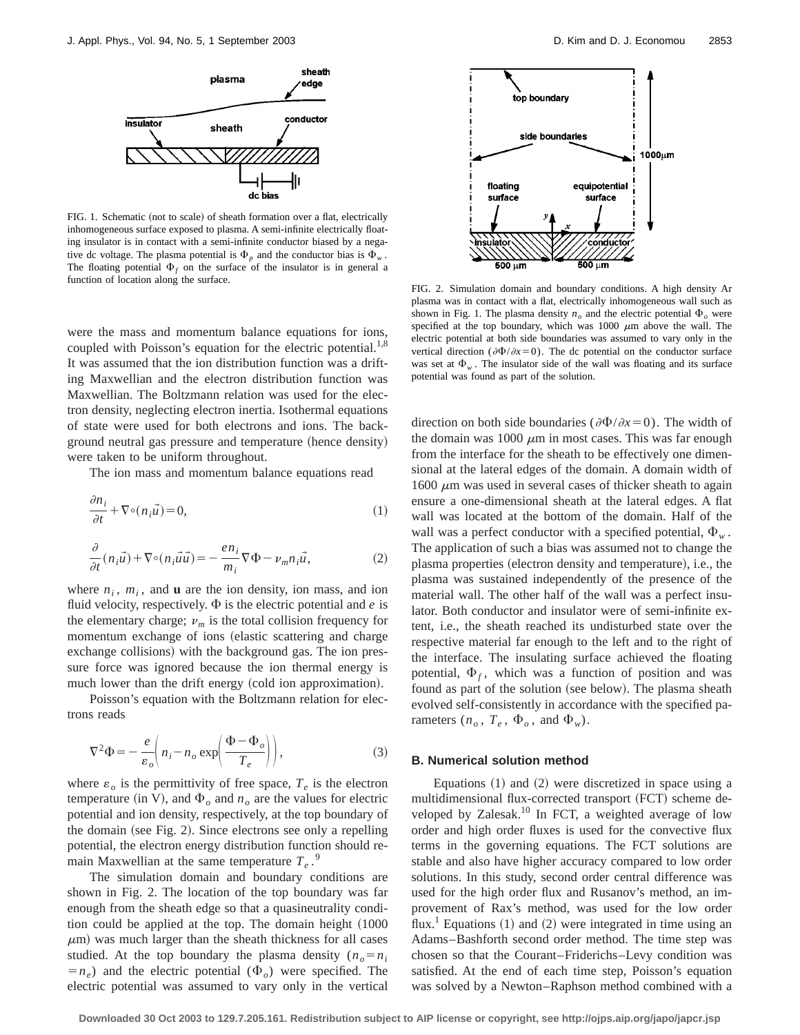

FIG. 1. Schematic (not to scale) of sheath formation over a flat, electrically inhomogeneous surface exposed to plasma. A semi-infinite electrically floating insulator is in contact with a semi-infinite conductor biased by a negative dc voltage. The plasma potential is  $\Phi_p$  and the conductor bias is  $\Phi_w$ . The floating potential  $\Phi_f$  on the surface of the insulator is in general a function of location along the surface.

were the mass and momentum balance equations for ions, coupled with Poisson's equation for the electric potential.<sup>1,8</sup> It was assumed that the ion distribution function was a drifting Maxwellian and the electron distribution function was Maxwellian. The Boltzmann relation was used for the electron density, neglecting electron inertia. Isothermal equations of state were used for both electrons and ions. The background neutral gas pressure and temperature (hence density) were taken to be uniform throughout.

The ion mass and momentum balance equations read

$$
\frac{\partial n_i}{\partial t} + \nabla \circ (n_i \vec{u}) = 0,\tag{1}
$$

$$
\frac{\partial}{\partial t}(n_i \vec{u}) + \nabla \circ (n_i \vec{u} \vec{u}) = -\frac{en_i}{m_i} \nabla \Phi - \nu_m n_i \vec{u},\tag{2}
$$

where  $n_i$ ,  $m_i$ , and **u** are the ion density, ion mass, and ion fluid velocity, respectively.  $\Phi$  is the electric potential and *e* is the elementary charge;  $\nu_m$  is the total collision frequency for momentum exchange of ions (elastic scattering and charge exchange collisions) with the background gas. The ion pressure force was ignored because the ion thermal energy is much lower than the drift energy (cold ion approximation).

Poisson's equation with the Boltzmann relation for electrons reads

$$
\nabla^2 \Phi = -\frac{e}{\varepsilon_o} \bigg( n_i - n_o \exp \bigg( \frac{\Phi - \Phi_o}{T_e} \bigg) \bigg),\tag{3}
$$

where  $\varepsilon_o$  is the permittivity of free space,  $T_e$  is the electron temperature (in V), and  $\Phi$ <sub>o</sub> and  $n<sub>o</sub>$  are the values for electric potential and ion density, respectively, at the top boundary of the domain (see Fig. 2). Since electrons see only a repelling potential, the electron energy distribution function should remain Maxwellian at the same temperature  $T_e$ .<sup>9</sup>

The simulation domain and boundary conditions are shown in Fig. 2. The location of the top boundary was far enough from the sheath edge so that a quasineutrality condition could be applied at the top. The domain height  $(1000$  $\mu$ m) was much larger than the sheath thickness for all cases studied. At the top boundary the plasma density  $(n_o=n_i)$  $(n_e)$  and the electric potential  $(\Phi_o)$  were specified. The electric potential was assumed to vary only in the vertical



FIG. 2. Simulation domain and boundary conditions. A high density Ar plasma was in contact with a flat, electrically inhomogeneous wall such as shown in Fig. 1. The plasma density  $n<sub>o</sub>$  and the electric potential  $\Phi<sub>o</sub>$  were specified at the top boundary, which was 1000  $\mu$ m above the wall. The electric potential at both side boundaries was assumed to vary only in the vertical direction ( $\partial \Phi / \partial x = 0$ ). The dc potential on the conductor surface was set at  $\Phi_w$ . The insulator side of the wall was floating and its surface potential was found as part of the solution.

direction on both side boundaries ( $\partial \Phi / \partial x = 0$ ). The width of the domain was 1000  $\mu$ m in most cases. This was far enough from the interface for the sheath to be effectively one dimensional at the lateral edges of the domain. A domain width of  $1600 \mu m$  was used in several cases of thicker sheath to again ensure a one-dimensional sheath at the lateral edges. A flat wall was located at the bottom of the domain. Half of the wall was a perfect conductor with a specified potential,  $\Phi_w$ . The application of such a bias was assumed not to change the plasma properties (electron density and temperature), i.e., the plasma was sustained independently of the presence of the material wall. The other half of the wall was a perfect insulator. Both conductor and insulator were of semi-infinite extent, i.e., the sheath reached its undisturbed state over the respective material far enough to the left and to the right of the interface. The insulating surface achieved the floating potential,  $\Phi_f$ , which was a function of position and was found as part of the solution (see below). The plasma sheath evolved self-consistently in accordance with the specified parameters  $(n_o, T_e, \Phi_o, \text{ and } \Phi_w)$ .

#### **B. Numerical solution method**

Equations  $(1)$  and  $(2)$  were discretized in space using a multidimensional flux-corrected transport (FCT) scheme developed by Zalesak.<sup>10</sup> In FCT, a weighted average of low order and high order fluxes is used for the convective flux terms in the governing equations. The FCT solutions are stable and also have higher accuracy compared to low order solutions. In this study, second order central difference was used for the high order flux and Rusanov's method, an improvement of Rax's method, was used for the low order flux.<sup>1</sup> Equations  $(1)$  and  $(2)$  were integrated in time using an Adams–Bashforth second order method. The time step was chosen so that the Courant–Friderichs–Levy condition was satisfied. At the end of each time step, Poisson's equation was solved by a Newton–Raphson method combined with a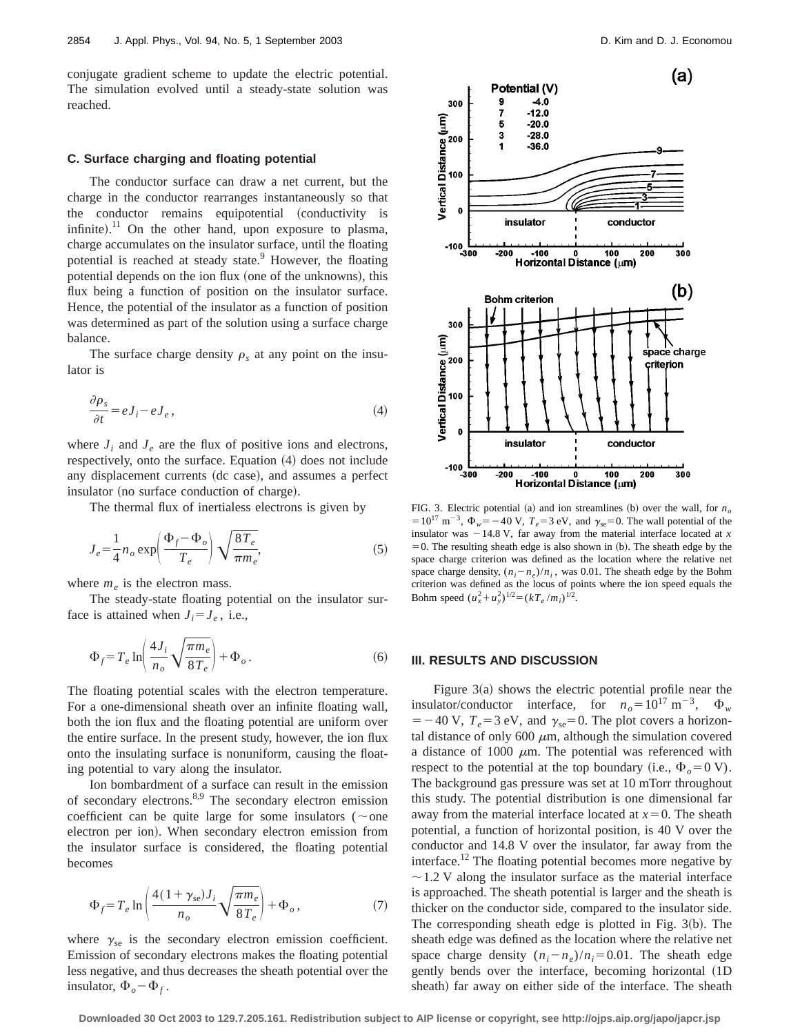conjugate gradient scheme to update the electric potential. The simulation evolved until a steady-state solution was reached.

#### **C. Surface charging and floating potential**

The conductor surface can draw a net current, but the charge in the conductor rearranges instantaneously so that the conductor remains equipotential (conductivity is infinite).<sup>11</sup> On the other hand, upon exposure to plasma, charge accumulates on the insulator surface, until the floating potential is reached at steady state. $9$  However, the floating potential depends on the ion flux (one of the unknowns), this flux being a function of position on the insulator surface. Hence, the potential of the insulator as a function of position was determined as part of the solution using a surface charge balance.

The surface charge density  $\rho_s$  at any point on the insulator is

$$
\frac{\partial \rho_s}{\partial t} = e J_i - e J_e, \tag{4}
$$

where  $J_i$  and  $J_e$  are the flux of positive ions and electrons, respectively, onto the surface. Equation  $(4)$  does not include any displacement currents (dc case), and assumes a perfect insulator (no surface conduction of charge).

The thermal flux of inertialess electrons is given by

$$
J_e = \frac{1}{4} n_o \exp\left(\frac{\Phi_f - \Phi_o}{T_e}\right) \sqrt{\frac{8T_e}{\pi m_e}},\tag{5}
$$

where  $m_e$  is the electron mass.

The steady-state floating potential on the insulator surface is attained when  $J_i = J_e$ , i.e.,

$$
\Phi_f = T_e \ln \left( \frac{4J_i}{n_o} \sqrt{\frac{\pi m_e}{8T_e}} \right) + \Phi_o \,. \tag{6}
$$

The floating potential scales with the electron temperature. For a one-dimensional sheath over an infinite floating wall, both the ion flux and the floating potential are uniform over the entire surface. In the present study, however, the ion flux onto the insulating surface is nonuniform, causing the floating potential to vary along the insulator.

Ion bombardment of a surface can result in the emission of secondary electrons.8,9 The secondary electron emission coefficient can be quite large for some insulators ( $\sim$ one electron per ion). When secondary electron emission from the insulator surface is considered, the floating potential becomes

$$
\Phi_f = T_e \ln \left( \frac{4(1 + \gamma_{\rm se}) J_i}{n_o} \sqrt{\frac{\pi m_e}{8T_e}} \right) + \Phi_o, \tag{7}
$$

where  $\gamma_{se}$  is the secondary electron emission coefficient. Emission of secondary electrons makes the floating potential less negative, and thus decreases the sheath potential over the insulator,  $\Phi_o - \Phi_f$ .



FIG. 3. Electric potential (a) and ion streamlines (b) over the wall, for  $n<sub>o</sub>$  $=10^{17}$  m<sup>-3</sup>,  $\Phi_w = -40$  V,  $T_e = 3$  eV, and  $\gamma_{se} = 0$ . The wall potential of the insulator was  $-14.8$  V, far away from the material interface located at *x*  $=0$ . The resulting sheath edge is also shown in (b). The sheath edge by the space charge criterion was defined as the location where the relative net space charge density,  $(n_i - n_e)/n_i$ , was 0.01. The sheath edge by the Bohm criterion was defined as the locus of points where the ion speed equals the Bohm speed  $(u_x^2 + u_y^2)^{1/2} = (kT_e/m_i)^{1/2}$ .

## **III. RESULTS AND DISCUSSION**

Figure  $3(a)$  shows the electric potential profile near the insulator/conductor interface, for  $n_o = 10^{17} \text{ m}^{-3}$ ,  $\Phi_w$  $=$  -40 V,  $T_e$  = 3 eV, and  $\gamma_{se}$  = 0. The plot covers a horizontal distance of only 600  $\mu$ m, although the simulation covered a distance of 1000  $\mu$ m. The potential was referenced with respect to the potential at the top boundary (i.e.,  $\Phi_0 = 0$  V). The background gas pressure was set at 10 mTorr throughout this study. The potential distribution is one dimensional far away from the material interface located at  $x=0$ . The sheath potential, a function of horizontal position, is 40 V over the conductor and 14.8 V over the insulator, far away from the interface.<sup>12</sup> The floating potential becomes more negative by  $\sim$  1.2 V along the insulator surface as the material interface is approached. The sheath potential is larger and the sheath is thicker on the conductor side, compared to the insulator side. The corresponding sheath edge is plotted in Fig.  $3(b)$ . The sheath edge was defined as the location where the relative net space charge density  $(n_i - n_e)/n_i = 0.01$ . The sheath edge gently bends over the interface, becoming horizontal (1D sheath) far away on either side of the interface. The sheath

**Downloaded 30 Oct 2003 to 129.7.205.161. Redistribution subject to AIP license or copyright, see http://ojps.aip.org/japo/japcr.jsp**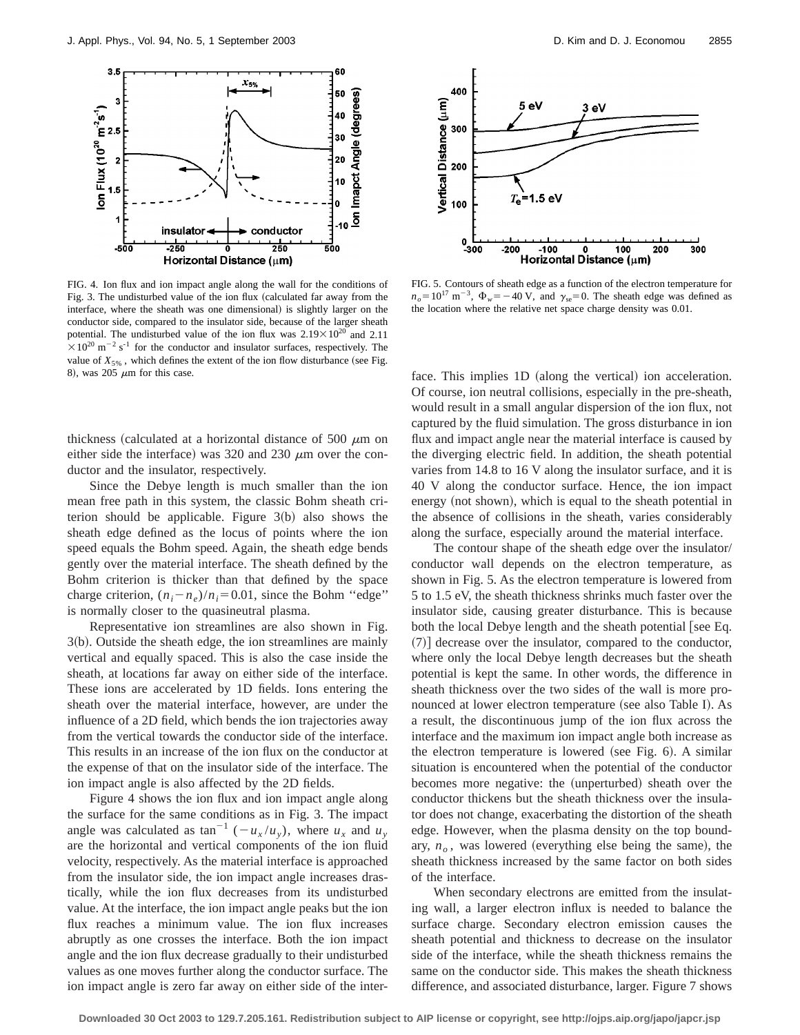

FIG. 4. Ion flux and ion impact angle along the wall for the conditions of Fig. 3. The undisturbed value of the ion flux (calculated far away from the interface, where the sheath was one dimensional) is slightly larger on the conductor side, compared to the insulator side, because of the larger sheath potential. The undisturbed value of the ion flux was  $2.19 \times 10^{20}$  and 2.11  $\times$  10<sup>20</sup> m<sup>-2</sup> s<sup>-1</sup> for the conductor and insulator surfaces, respectively. The value of  $X_{5\%}$ , which defines the extent of the ion flow disturbance (see Fig. 8), was 205  $\mu$ m for this case.

thickness (calculated at a horizontal distance of 500  $\mu$ m on either side the interface) was 320 and 230  $\mu$ m over the conductor and the insulator, respectively.

Since the Debye length is much smaller than the ion mean free path in this system, the classic Bohm sheath criterion should be applicable. Figure  $3(b)$  also shows the sheath edge defined as the locus of points where the ion speed equals the Bohm speed. Again, the sheath edge bends gently over the material interface. The sheath defined by the Bohm criterion is thicker than that defined by the space charge criterion,  $(n_i - n_e)/n_i = 0.01$ , since the Bohm "edge" is normally closer to the quasineutral plasma.

Representative ion streamlines are also shown in Fig.  $3(b)$ . Outside the sheath edge, the ion streamlines are mainly vertical and equally spaced. This is also the case inside the sheath, at locations far away on either side of the interface. These ions are accelerated by 1D fields. Ions entering the sheath over the material interface, however, are under the influence of a 2D field, which bends the ion trajectories away from the vertical towards the conductor side of the interface. This results in an increase of the ion flux on the conductor at the expense of that on the insulator side of the interface. The ion impact angle is also affected by the 2D fields.

Figure 4 shows the ion flux and ion impact angle along the surface for the same conditions as in Fig. 3. The impact angle was calculated as  $\tan^{-1}(-u_x/u_y)$ , where  $u_x$  and  $u_y$ are the horizontal and vertical components of the ion fluid velocity, respectively. As the material interface is approached from the insulator side, the ion impact angle increases drastically, while the ion flux decreases from its undisturbed value. At the interface, the ion impact angle peaks but the ion flux reaches a minimum value. The ion flux increases abruptly as one crosses the interface. Both the ion impact angle and the ion flux decrease gradually to their undisturbed values as one moves further along the conductor surface. The ion impact angle is zero far away on either side of the inter-



FIG. 5. Contours of sheath edge as a function of the electron temperature for  $n<sub>o</sub>=10^{17}$  m<sup>-3</sup>,  $\Phi_w=-40$  V, and  $\gamma_{se}=0$ . The sheath edge was defined as the location where the relative net space charge density was 0.01.

face. This implies 1D (along the vertical) ion acceleration. Of course, ion neutral collisions, especially in the pre-sheath, would result in a small angular dispersion of the ion flux, not captured by the fluid simulation. The gross disturbance in ion flux and impact angle near the material interface is caused by the diverging electric field. In addition, the sheath potential varies from 14.8 to 16 V along the insulator surface, and it is 40 V along the conductor surface. Hence, the ion impact energy (not shown), which is equal to the sheath potential in the absence of collisions in the sheath, varies considerably along the surface, especially around the material interface.

The contour shape of the sheath edge over the insulator/ conductor wall depends on the electron temperature, as shown in Fig. 5. As the electron temperature is lowered from 5 to 1.5 eV, the sheath thickness shrinks much faster over the insulator side, causing greater disturbance. This is because both the local Debye length and the sheath potential see Eq.  $(7)$ ] decrease over the insulator, compared to the conductor, where only the local Debye length decreases but the sheath potential is kept the same. In other words, the difference in sheath thickness over the two sides of the wall is more pronounced at lower electron temperature (see also Table I). As a result, the discontinuous jump of the ion flux across the interface and the maximum ion impact angle both increase as the electron temperature is lowered (see Fig.  $6$ ). A similar situation is encountered when the potential of the conductor becomes more negative: the (unperturbed) sheath over the conductor thickens but the sheath thickness over the insulator does not change, exacerbating the distortion of the sheath edge. However, when the plasma density on the top boundary,  $n<sub>o</sub>$ , was lowered (everything else being the same), the sheath thickness increased by the same factor on both sides of the interface.

When secondary electrons are emitted from the insulating wall, a larger electron influx is needed to balance the surface charge. Secondary electron emission causes the sheath potential and thickness to decrease on the insulator side of the interface, while the sheath thickness remains the same on the conductor side. This makes the sheath thickness difference, and associated disturbance, larger. Figure 7 shows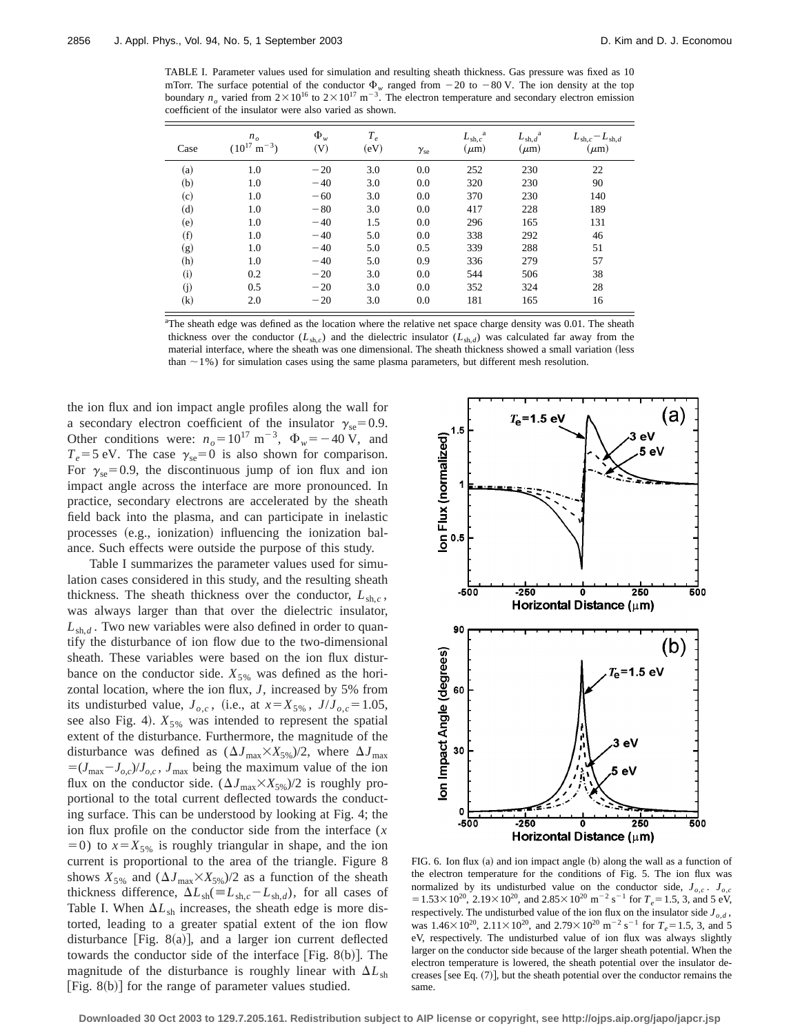TABLE I. Parameter values used for simulation and resulting sheath thickness. Gas pressure was fixed as 10 mTorr. The surface potential of the conductor  $\Phi_w$  ranged from  $-20$  to  $-80$  V. The ion density at the top boundary  $n<sub>o</sub>$  varied from  $2\times10^{16}$  to  $2\times10^{17}$  m<sup>-3</sup>. The electron temperature and secondary electron emission coefficient of the insulator were also varied as shown.

| Case              | $n_{\scriptscriptstyle O}$<br>$(10^{17} \text{ m}^{-3})$ | $\Phi_w$<br>(V) | $T_e$<br>(eV) | $\gamma_{\rm se}$ | a<br>$L_{\mathrm{sh},c}$<br>$(\mu m)$ | $L_{sh,d}^{\text{a}}$<br>$(\mu m)$ | $L_{\text{sh},c} - L_{\text{sh},d}$<br>$(\mu m)$ |
|-------------------|----------------------------------------------------------|-----------------|---------------|-------------------|---------------------------------------|------------------------------------|--------------------------------------------------|
| (a)               | 1.0                                                      | $-20$           | 3.0           | 0.0               | 252                                   | 230                                | 22                                               |
| (b)               | 1.0                                                      | $-40$           | 3.0           | 0.0               | 320                                   | 230                                | 90                                               |
| (c)               | 1.0                                                      | $-60$           | 3.0           | 0.0               | 370                                   | 230                                | 140                                              |
| (d)               | 1.0                                                      | $-80$           | 3.0           | 0.0               | 417                                   | 228                                | 189                                              |
| (e)               | 1.0                                                      | $-40$           | 1.5           | 0.0               | 296                                   | 165                                | 131                                              |
| (f)               | 1.0                                                      | $-40$           | 5.0           | 0.0               | 338                                   | 292                                | 46                                               |
| (g)               | 1.0                                                      | $-40$           | 5.0           | 0.5               | 339                                   | 288                                | 51                                               |
| (h)               | 1.0                                                      | $-40$           | 5.0           | 0.9               | 336                                   | 279                                | 57                                               |
| (i)               | 0.2                                                      | $-20$           | 3.0           | 0.0               | 544                                   | 506                                | 38                                               |
| (j)               | 0.5                                                      | $-20$           | 3.0           | 0.0               | 352                                   | 324                                | 28                                               |
| $\left( k\right)$ | 2.0                                                      | $-20$           | 3.0           | 0.0               | 181                                   | 165                                | 16                                               |

<sup>a</sup>The sheath edge was defined as the location where the relative net space charge density was 0.01. The sheath thickness over the conductor  $(L_{\text{sh},c})$  and the dielectric insulator  $(L_{\text{sh},d})$  was calculated far away from the material interface, where the sheath was one dimensional. The sheath thickness showed a small variation (less than  $\sim$  1%) for simulation cases using the same plasma parameters, but different mesh resolution.

the ion flux and ion impact angle profiles along the wall for a secondary electron coefficient of the insulator  $\gamma_{se}=0.9$ . Other conditions were:  $n<sub>o</sub>=10^{17} \text{ m}^{-3}$ ,  $\Phi_w=-40 \text{ V}$ , and  $T_e$ =5 eV. The case  $\gamma_{se}$ =0 is also shown for comparison. For  $\gamma_{se}$ =0.9, the discontinuous jump of ion flux and ion impact angle across the interface are more pronounced. In practice, secondary electrons are accelerated by the sheath field back into the plasma, and can participate in inelastic processes (e.g., ionization) influencing the ionization balance. Such effects were outside the purpose of this study.

Table I summarizes the parameter values used for simulation cases considered in this study, and the resulting sheath thickness. The sheath thickness over the conductor,  $L_{\text{sh.c}}$ , was always larger than that over the dielectric insulator,  $L_{sh,d}$ . Two new variables were also defined in order to quantify the disturbance of ion flow due to the two-dimensional sheath. These variables were based on the ion flux disturbance on the conductor side.  $X_{5\%}$  was defined as the horizontal location, where the ion flux, *J*, increased by 5% from its undisturbed value,  $J_{o,c}$ , (i.e., at  $x = X_{5\%}$ ,  $J/J_{o,c} = 1.05$ , see also Fig. 4).  $X_{5\%}$  was intended to represent the spatial extent of the disturbance. Furthermore, the magnitude of the disturbance was defined as  $(\Delta J_{\text{max}} \times X_{5\%})/2$ , where  $\Delta J_{\text{max}}$  $=(J_{\text{max}}-J_{o,c})/J_{o,c}$ ,  $J_{\text{max}}$  being the maximum value of the ion flux on the conductor side.  $(\Delta J_{\text{max}} \times X_{5\%})/2$  is roughly proportional to the total current deflected towards the conducting surface. This can be understood by looking at Fig. 4; the ion flux profile on the conductor side from the interface (*x*  $(50)$  to  $x = X_{5\%}$  is roughly triangular in shape, and the ion current is proportional to the area of the triangle. Figure 8 shows  $X_{5\%}$  and  $(\Delta J_{\text{max}} \times X_{5\%})/2$  as a function of the sheath thickness difference,  $\Delta L_{sh}(\equiv L_{sh,c} - L_{sh,d})$ , for all cases of Table I. When  $\Delta L_{sh}$  increases, the sheath edge is more distorted, leading to a greater spatial extent of the ion flow disturbance [Fig. 8(a)], and a larger ion current deflected towards the conductor side of the interface  $[Fig. 8(b)].$  The magnitude of the disturbance is roughly linear with  $\Delta L_{sh}$ [Fig. 8(b)] for the range of parameter values studied.



FIG. 6. Ion flux (a) and ion impact angle (b) along the wall as a function of the electron temperature for the conditions of Fig. 5. The ion flux was normalized by its undisturbed value on the conductor side,  $J_{\rho,c}$  .  $J_{\rho,c}$  $= 1.53 \times 10^{20}$ , 2.19 $\times$ 10<sup>20</sup>, and 2.85 $\times$ 10<sup>20</sup> m<sup>-2</sup> s<sup>-1</sup> for  $T_e$ =1.5, 3, and 5 eV, respectively. The undisturbed value of the ion flux on the insulator side  $J_{o,d}$ , was  $1.46 \times 10^{20}$ ,  $2.11 \times 10^{20}$ , and  $2.79 \times 10^{20}$  m<sup>-2</sup> s<sup>-1</sup> for  $T_e$ =1.5, 3, and 5 eV, respectively. The undisturbed value of ion flux was always slightly larger on the conductor side because of the larger sheath potential. When the electron temperature is lowered, the sheath potential over the insulator decreases [see Eq.  $(7)$ ], but the sheath potential over the conductor remains the same.